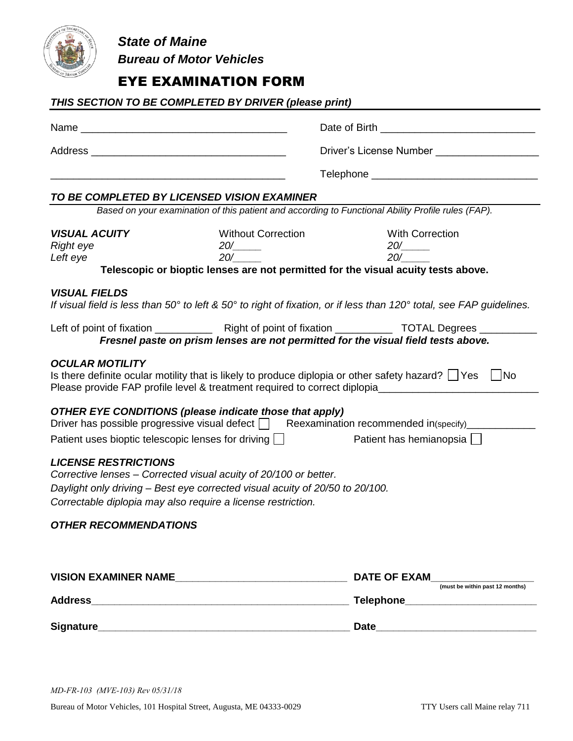

*State of Maine Bureau of Motor Vehicles*

# EYE EXAMINATION FORM

|                                                      | THIS SECTION TO BE COMPLETED BY DRIVER (please print)                                                                                                                                                            |                                                                                                                                                                                                                           |  |  |
|------------------------------------------------------|------------------------------------------------------------------------------------------------------------------------------------------------------------------------------------------------------------------|---------------------------------------------------------------------------------------------------------------------------------------------------------------------------------------------------------------------------|--|--|
|                                                      |                                                                                                                                                                                                                  |                                                                                                                                                                                                                           |  |  |
|                                                      |                                                                                                                                                                                                                  |                                                                                                                                                                                                                           |  |  |
|                                                      |                                                                                                                                                                                                                  |                                                                                                                                                                                                                           |  |  |
|                                                      | TO BE COMPLETED BY LICENSED VISION EXAMINER                                                                                                                                                                      |                                                                                                                                                                                                                           |  |  |
|                                                      |                                                                                                                                                                                                                  | Based on your examination of this patient and according to Functional Ability Profile rules (FAP).                                                                                                                        |  |  |
| <b>VISUAL ACUITY</b><br><b>Right eye</b><br>Left eye | <b>Without Correction</b><br>20/<br>20/                                                                                                                                                                          | <b>With Correction</b><br>20/<br>20/<br>Telescopic or bioptic lenses are not permitted for the visual acuity tests above.                                                                                                 |  |  |
| <b>VISUAL FIELDS</b>                                 |                                                                                                                                                                                                                  | If visual field is less than 50 $^{\circ}$ to left & 50 $^{\circ}$ to right of fixation, or if less than 120 $^{\circ}$ total, see FAP guidelines.                                                                        |  |  |
|                                                      |                                                                                                                                                                                                                  | Fresnel paste on prism lenses are not permitted for the visual field tests above.                                                                                                                                         |  |  |
| <b>OCULAR MOTILITY</b>                               |                                                                                                                                                                                                                  | Is there definite ocular motility that is likely to produce diplopia or other safety hazard? $\Box$ Yes $\Box$ No<br>Please provide FAP profile level & treatment required to correct diplopia___________________________ |  |  |
|                                                      | <b>OTHER EYE CONDITIONS (please indicate those that apply)</b>                                                                                                                                                   | Driver has possible progressive visual defect   Reexamination recommended in(specify)                                                                                                                                     |  |  |
|                                                      | Patient uses bioptic telescopic lenses for driving                                                                                                                                                               | Patient has hemianopsia                                                                                                                                                                                                   |  |  |
| <b>LICENSE RESTRICTIONS</b>                          | Corrective lenses - Corrected visual acuity of 20/100 or better.<br>Daylight only driving - Best eye corrected visual acuity of 20/50 to 20/100.<br>Correctable diplopia may also require a license restriction. |                                                                                                                                                                                                                           |  |  |
| <b>OTHER RECOMMENDATIONS</b>                         |                                                                                                                                                                                                                  |                                                                                                                                                                                                                           |  |  |
|                                                      |                                                                                                                                                                                                                  | <b>DATE OF EXAM</b><br>(must be within past 12 months)                                                                                                                                                                    |  |  |
|                                                      |                                                                                                                                                                                                                  | Telephone <b>Example 2016</b>                                                                                                                                                                                             |  |  |
|                                                      |                                                                                                                                                                                                                  |                                                                                                                                                                                                                           |  |  |